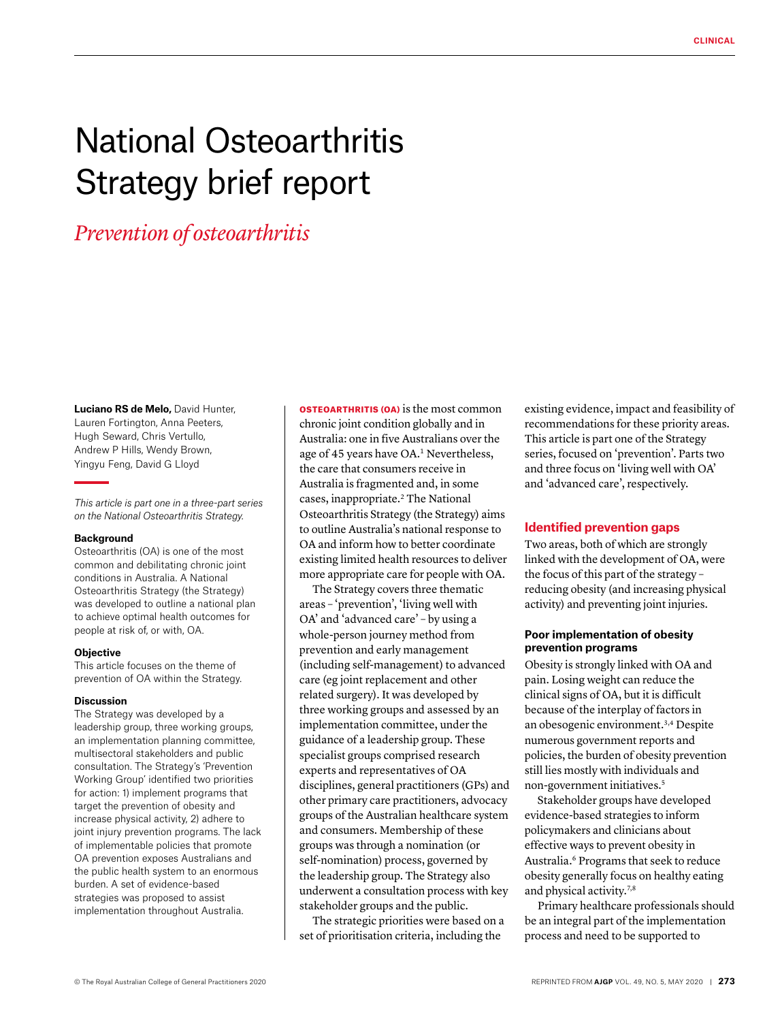# National Osteoarthritis Strategy brief report

## *Prevention of osteoarthritis*

**Luciano RS de Melo,** David Hunter, Lauren Fortington, Anna Peeters, Hugh Seward, Chris Vertullo, Andrew P Hills, Wendy Brown, Yingyu Feng, David G Lloyd

*This article is part one in a three-part series on the National Osteoarthritis Strategy.*

#### **Background**

Osteoarthritis (OA) is one of the most common and debilitating chronic joint conditions in Australia. A National Osteoarthritis Strategy (the Strategy) was developed to outline a national plan to achieve optimal health outcomes for people at risk of, or with, OA.

#### **Objective**

This article focuses on the theme of prevention of OA within the Strategy.

#### **Discussion**

The Strategy was developed by a leadership group, three working groups, an implementation planning committee, multisectoral stakeholders and public consultation. The Strategy's 'Prevention Working Group' identified two priorities for action: 1) implement programs that target the prevention of obesity and increase physical activity, 2) adhere to joint injury prevention programs. The lack of implementable policies that promote OA prevention exposes Australians and the public health system to an enormous burden. A set of evidence-based strategies was proposed to assist implementation throughout Australia.

OSTEOARTHRITIS (OA) is the most common chronic joint condition globally and in Australia: one in five Australians over the age of 45 years have OA.<sup>1</sup> Nevertheless, the care that consumers receive in Australia is fragmented and, in some cases, inappropriate.2 The National Osteoarthritis Strategy (the Strategy) aims to outline Australia's national response to OA and inform how to better coordinate existing limited health resources to deliver more appropriate care for people with OA.

The Strategy covers three thematic areas – 'prevention', 'living well with OA' and 'advanced care' – by using a whole-person journey method from prevention and early management (including self-management) to advanced care (eg joint replacement and other related surgery). It was developed by three working groups and assessed by an implementation committee, under the guidance of a leadership group. These specialist groups comprised research experts and representatives of OA disciplines, general practitioners (GPs) and other primary care practitioners, advocacy groups of the Australian healthcare system and consumers. Membership of these groups was through a nomination (or self-nomination) process, governed by the leadership group. The Strategy also underwent a consultation process with key stakeholder groups and the public.

The strategic priorities were based on a set of prioritisation criteria, including the

existing evidence, impact and feasibility of recommendations for these priority areas. This article is part one of the Strategy series, focused on 'prevention'. Parts two and three focus on 'living well with OA' and 'advanced care', respectively.

#### **Identified prevention gaps**

Two areas, both of which are strongly linked with the development of OA, were the focus of this part of the strategy – reducing obesity (and increasing physical activity) and preventing joint injuries.

#### **Poor implementation of obesity prevention programs**

Obesity is strongly linked with OA and pain. Losing weight can reduce the clinical signs of OA, but it is difficult because of the interplay of factors in an obesogenic environment.3,4 Despite numerous government reports and policies, the burden of obesity prevention still lies mostly with individuals and non-government initiatives.5

Stakeholder groups have developed evidence-based strategies to inform policymakers and clinicians about effective ways to prevent obesity in Australia.6 Programs that seek to reduce obesity generally focus on healthy eating and physical activity.<sup>7,8</sup>

Primary healthcare professionals should be an integral part of the implementation process and need to be supported to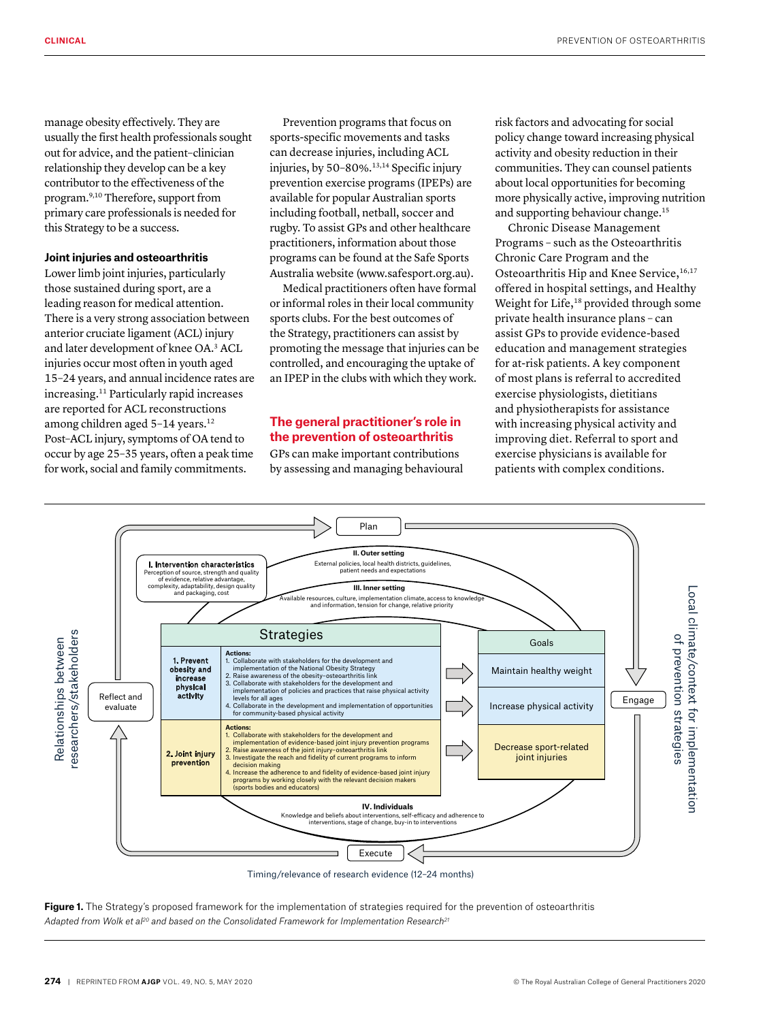manage obesity effectively. They are usually the first health professionals sought out for advice, and the patient–clinician relationship they develop can be a key contributor to the effectiveness of the program.9,10 Therefore, support from primary care professionals is needed for this Strategy to be a success.

#### **Joint injuries and osteoarthritis**

Lower limb joint injuries, particularly those sustained during sport, are a leading reason for medical attention. There is a very strong association between anterior cruciate ligament (ACL) injury and later development of knee OA.3 ACL injuries occur most often in youth aged 15–24 years, and annual incidence rates are increasing.11 Particularly rapid increases are reported for ACL reconstructions among children aged 5-14 years.<sup>12</sup> Post–ACL injury, symptoms of OA tend to occur by age 25–35 years, often a peak time for work, social and family commitments.

Prevention programs that focus on sports-specific movements and tasks can decrease injuries, including ACL injuries, by 50–80%.13,14 Specific injury prevention exercise programs (IPEPs) are available for popular Australian sports including football, netball, soccer and rugby. To assist GPs and other healthcare practitioners, information about those programs can be found at the Safe Sports Australia website (www.safesport.org.au).

Medical practitioners often have formal or informal roles in their local community sports clubs. For the best outcomes of the Strategy, practitioners can assist by promoting the message that injuries can be controlled, and encouraging the uptake of an IPEP in the clubs with which they work.

### **The general practitioner's role in the prevention of osteoarthritis**

GPs can make important contributions by assessing and managing behavioural risk factors and advocating for social policy change toward increasing physical activity and obesity reduction in their communities. They can counsel patients about local opportunities for becoming more physically active, improving nutrition and supporting behaviour change.15

Chronic Disease Management Programs – such as the Osteoarthritis Chronic Care Program and the Osteoarthritis Hip and Knee Service, 16,17 offered in hospital settings, and Healthy Weight for Life,<sup>18</sup> provided through some private health insurance plans – can assist GPs to provide evidence-based education and management strategies for at-risk patients. A key component of most plans is referral to accredited exercise physiologists, dietitians and physiotherapists for assistance with increasing physical activity and improving diet. Referral to sport and exercise physicians is available for patients with complex conditions.



Timing/relevance of research evidence (12–24 months)

Figure 1. The Strategy's proposed framework for the implementation of strategies required for the prevention of osteoarthritis *Adapted from Wolk et al20 and based on the Consolidated Framework for Implementation Research21*